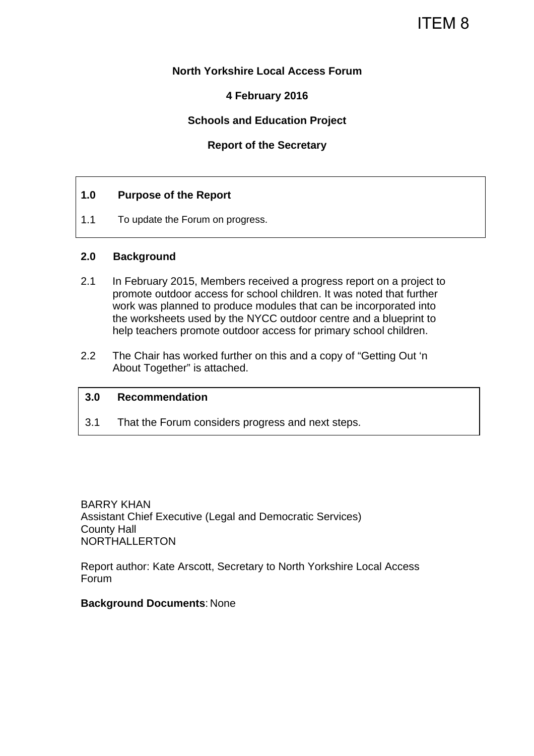# ITEM 8

#### **North Yorkshire Local Access Forum**

#### **4 February 2016**

#### **Schools and Education Project**

#### **Report of the Secretary**

#### **1.0 Purpose of the Report**

1.1 To update the Forum on progress.

#### **2.0 Background**

- 2.1 In February 2015, Members received a progress report on a project to promote outdoor access for school children. It was noted that further work was planned to produce modules that can be incorporated into the worksheets used by the NYCC outdoor centre and a blueprint to help teachers promote outdoor access for primary school children.
- 2.2 The Chair has worked further on this and a copy of "Getting Out 'n About Together" is attached.

#### **3.0 Recommendation**

3.1 That the Forum considers progress and next steps.

BARRY KHAN Assistant Chief Executive (Legal and Democratic Services) County Hall NORTHALLERTON

Report author: Kate Arscott, Secretary to North Yorkshire Local Access Forum

#### **Background Documents**: None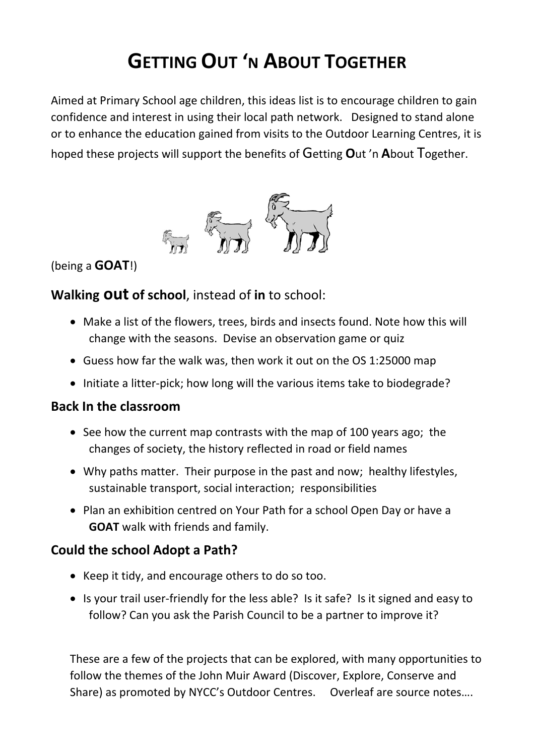# **GETTING OUT 'N ABOUT TOGETHER**

Aimed at Primary School age children, this ideas list is to encourage children to gain confidence and interest in using their local path network. Designed to stand alone or to enhance the education gained from visits to the Outdoor Learning Centres, it is hoped these projects will support the benefits of Getting **O**ut 'n **A**bout Together.



(being a **GOAT**!)

### **Walking out of school**, instead of **in** to school:

- Make a list of the flowers, trees, birds and insects found. Note how this will change with the seasons. Devise an observation game or quiz
- Guess how far the walk was, then work it out on the OS 1:25000 map
- Initiate a litter-pick; how long will the various items take to biodegrade?

### **Back In the classroom**

- See how the current map contrasts with the map of 100 years ago; the changes of society, the history reflected in road or field names
- Why paths matter. Their purpose in the past and now; healthy lifestyles, sustainable transport, social interaction; responsibilities
- Plan an exhibition centred on Your Path for a school Open Day or have a **GOAT** walk with friends and family.

### **Could the school Adopt a Path?**

- Keep it tidy, and encourage others to do so too.
- Is your trail user-friendly for the less able? Is it safe? Is it signed and easy to follow? Can you ask the Parish Council to be a partner to improve it?

These are a few of the projects that can be explored, with many opportunities to follow the themes of the John Muir Award (Discover, Explore, Conserve and Share) as promoted by NYCC's Outdoor Centres. Overleaf are source notes….